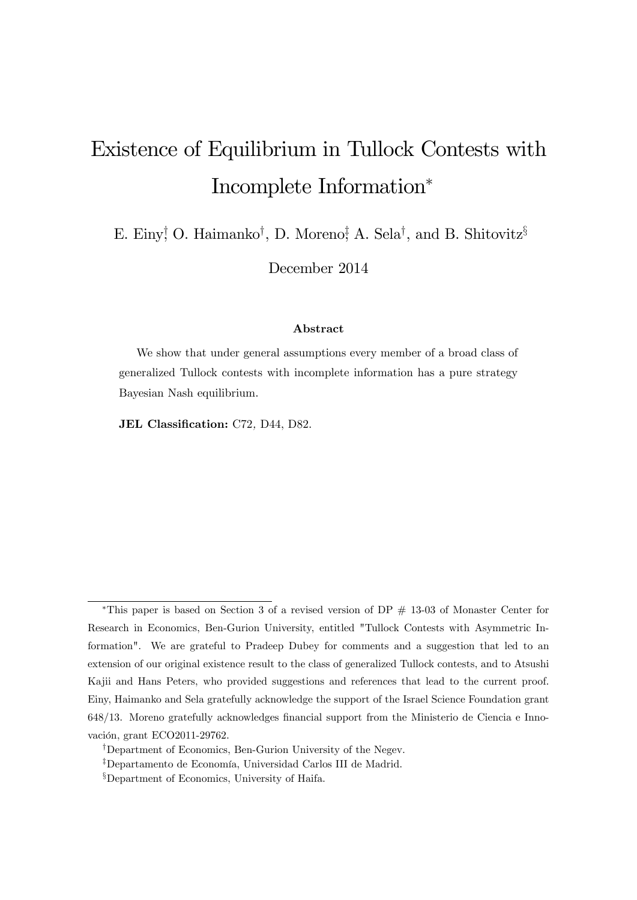# Existence of Equilibrium in Tullock Contests with Incomplete Information

E. Einy<sup>†</sup> O. Haimanko<sup>†</sup>, D. Moreno<sup>‡</sup>, A. Sela<sup>†</sup>, and B. Shitovitz<sup>§</sup>

December 2014

#### Abstract

We show that under general assumptions every member of a broad class of generalized Tullock contests with incomplete information has a pure strategy Bayesian Nash equilibrium.

JEL Classification: C72, D44, D82.

<sup>\*</sup>This paper is based on Section 3 of a revised version of  $DP \# 13-03$  of Monaster Center for Research in Economics, Ben-Gurion University, entitled "Tullock Contests with Asymmetric Information". We are grateful to Pradeep Dubey for comments and a suggestion that led to an extension of our original existence result to the class of generalized Tullock contests, and to Atsushi Kajii and Hans Peters, who provided suggestions and references that lead to the current proof. Einy, Haimanko and Sela gratefully acknowledge the support of the Israel Science Foundation grant 648/13. Moreno gratefully acknowledges financial support from the Ministerio de Ciencia e Innovación, grant ECO2011-29762.

<sup>&</sup>lt;sup>†</sup>Department of Economics, Ben-Gurion University of the Negev.

<sup>&</sup>lt;sup>‡</sup>Departamento de Economía, Universidad Carlos III de Madrid.

<sup>&</sup>lt;sup>§</sup>Department of Economics, University of Haifa.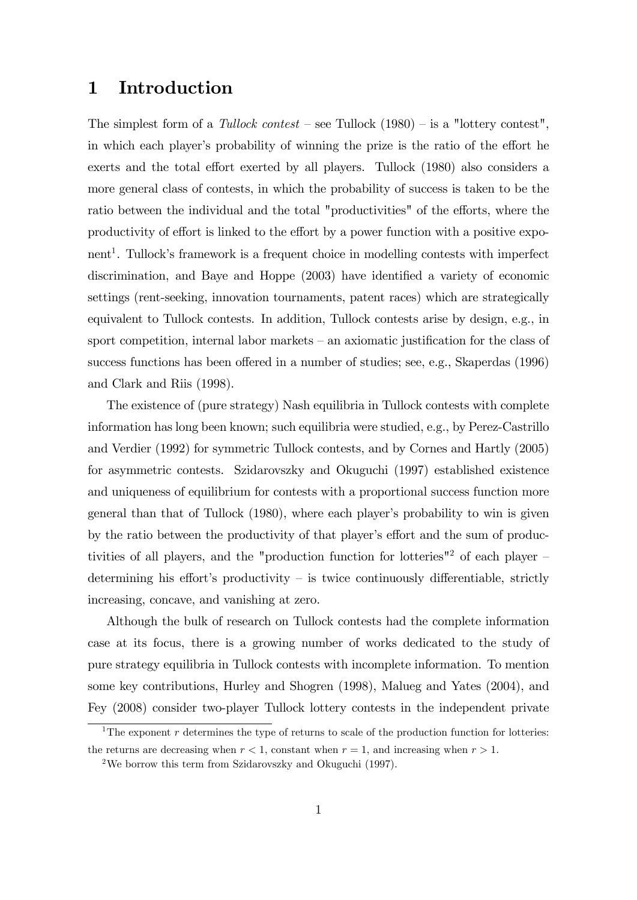## 1 Introduction

The simplest form of a Tullock contest – see Tullock  $(1980)$  – is a "lottery contest", in which each player's probability of winning the prize is the ratio of the effort he exerts and the total effort exerted by all players. Tullock (1980) also considers a more general class of contests, in which the probability of success is taken to be the ratio between the individual and the total "productivities" of the efforts, where the productivity of effort is linked to the effort by a power function with a positive exponent<sup>1</sup>. Tullock's framework is a frequent choice in modelling contests with imperfect discrimination, and Baye and Hoppe  $(2003)$  have identified a variety of economic settings (rent-seeking, innovation tournaments, patent races) which are strategically equivalent to Tullock contests. In addition, Tullock contests arise by design, e.g., in sport competition, internal labor markets  $-\alpha$  axiomatic justification for the class of success functions has been offered in a number of studies; see, e.g., Skaperdas (1996) and Clark and Riis (1998).

The existence of (pure strategy) Nash equilibria in Tullock contests with complete information has long been known; such equilibria were studied, e.g., by Perez-Castrillo and Verdier (1992) for symmetric Tullock contests, and by Cornes and Hartly (2005) for asymmetric contests. Szidarovszky and Okuguchi (1997) established existence and uniqueness of equilibrium for contests with a proportional success function more general than that of Tullock (1980), where each player's probability to win is given by the ratio between the productivity of that player's effort and the sum of productivities of all players, and the "production function for lotteries"<sup>2</sup> of each player  $$ determining his effort's productivity  $-$  is twice continuously differentiable, strictly increasing, concave, and vanishing at zero.

Although the bulk of research on Tullock contests had the complete information case at its focus, there is a growing number of works dedicated to the study of pure strategy equilibria in Tullock contests with incomplete information. To mention some key contributions, Hurley and Shogren (1998), Malueg and Yates (2004), and Fey (2008) consider two-player Tullock lottery contests in the independent private

<sup>&</sup>lt;sup>1</sup>The exponent r determines the type of returns to scale of the production function for lotteries: the returns are decreasing when  $r < 1$ , constant when  $r = 1$ , and increasing when  $r > 1$ .

<sup>2</sup>We borrow this term from Szidarovszky and Okuguchi (1997).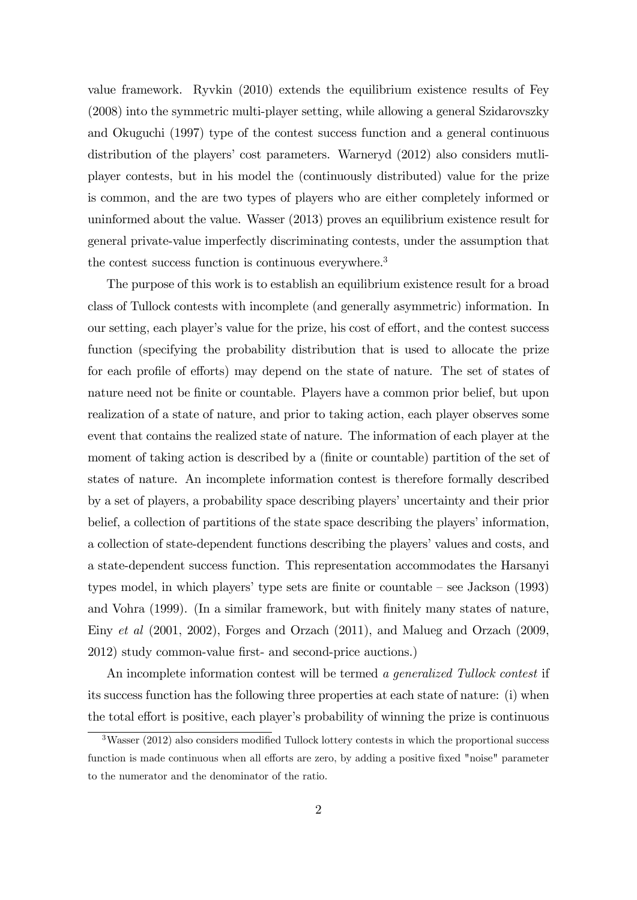value framework. Ryvkin (2010) extends the equilibrium existence results of Fey (2008) into the symmetric multi-player setting, while allowing a general Szidarovszky and Okuguchi (1997) type of the contest success function and a general continuous distribution of the players' cost parameters. Warneryd  $(2012)$  also considers mutliplayer contests, but in his model the (continuously distributed) value for the prize is common, and the are two types of players who are either completely informed or uninformed about the value. Wasser (2013) proves an equilibrium existence result for general private-value imperfectly discriminating contests, under the assumption that the contest success function is continuous everywhere.<sup>3</sup>

The purpose of this work is to establish an equilibrium existence result for a broad class of Tullock contests with incomplete (and generally asymmetric) information. In our setting, each player's value for the prize, his cost of effort, and the contest success function (specifying the probability distribution that is used to allocate the prize for each profile of efforts) may depend on the state of nature. The set of states of nature need not be finite or countable. Players have a common prior belief, but upon realization of a state of nature, and prior to taking action, each player observes some event that contains the realized state of nature. The information of each player at the moment of taking action is described by a (finite or countable) partition of the set of states of nature. An incomplete information contest is therefore formally described by a set of players, a probability space describing players' uncertainty and their prior belief, a collection of partitions of the state space describing the players' information, a collection of state-dependent functions describing the players' values and costs, and a state-dependent success function. This representation accommodates the Harsanyi types model, in which players' type sets are finite or countable  $-$  see Jackson (1993) and Vohra (1999). (In a similar framework, but with finitely many states of nature, Einy et al (2001, 2002), Forges and Orzach (2011), and Malueg and Orzach (2009, 2012) study common-value first- and second-price auctions.

An incomplete information contest will be termed a generalized Tullock contest if its success function has the following three properties at each state of nature: (i) when the total effort is positive, each player's probability of winning the prize is continuous

 $3$ Wasser (2012) also considers modified Tullock lottery contests in which the proportional success function is made continuous when all efforts are zero, by adding a positive fixed "noise" parameter to the numerator and the denominator of the ratio.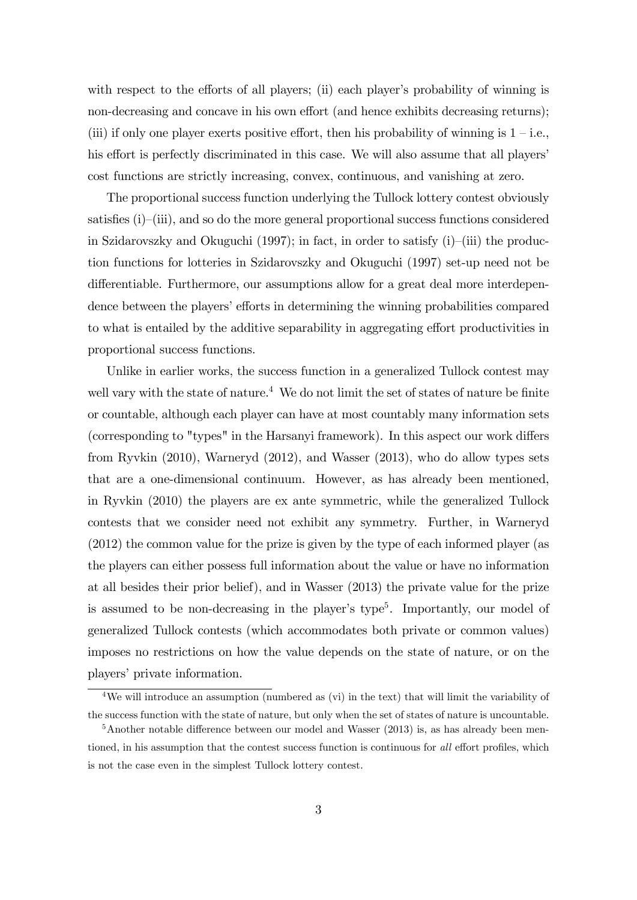with respect to the efforts of all players; (ii) each player's probability of winning is non-decreasing and concave in his own effort (and hence exhibits decreasing returns); (iii) if only one player exerts positive effort, then his probability of winning is  $1 - i.e.,$ his effort is perfectly discriminated in this case. We will also assume that all players' cost functions are strictly increasing, convex, continuous, and vanishing at zero.

The proportional success function underlying the Tullock lottery contest obviously satisfies  $(i)$ – $(iii)$ , and so do the more general proportional success functions considered in Szidarovszky and Okuguchi (1997); in fact, in order to satisfy  $(i)$ –(iii) the production functions for lotteries in Szidarovszky and Okuguchi (1997) set-up need not be differentiable. Furthermore, our assumptions allow for a great deal more interdependence between the players' efforts in determining the winning probabilities compared to what is entailed by the additive separability in aggregating effort productivities in proportional success functions.

Unlike in earlier works, the success function in a generalized Tullock contest may well vary with the state of nature.<sup>4</sup> We do not limit the set of states of nature be finite or countable, although each player can have at most countably many information sets (corresponding to "types" in the Harsanyi framework). In this aspect our work differs from Ryvkin (2010), Warneryd (2012), and Wasser (2013), who do allow types sets that are a one-dimensional continuum. However, as has already been mentioned, in Ryvkin (2010) the players are ex ante symmetric, while the generalized Tullock contests that we consider need not exhibit any symmetry. Further, in Warneryd (2012) the common value for the prize is given by the type of each informed player (as the players can either possess full information about the value or have no information at all besides their prior belief), and in Wasser (2013) the private value for the prize is assumed to be non-decreasing in the player's type<sup>5</sup>. Importantly, our model of generalized Tullock contests (which accommodates both private or common values) imposes no restrictions on how the value depends on the state of nature, or on the players' private information.

<sup>&</sup>lt;sup>4</sup>We will introduce an assumption (numbered as (vi) in the text) that will limit the variability of the success function with the state of nature, but only when the set of states of nature is uncountable.

 $5$ Another notable difference between our model and Wasser (2013) is, as has already been mentioned, in his assumption that the contest success function is continuous for all effort profiles, which is not the case even in the simplest Tullock lottery contest.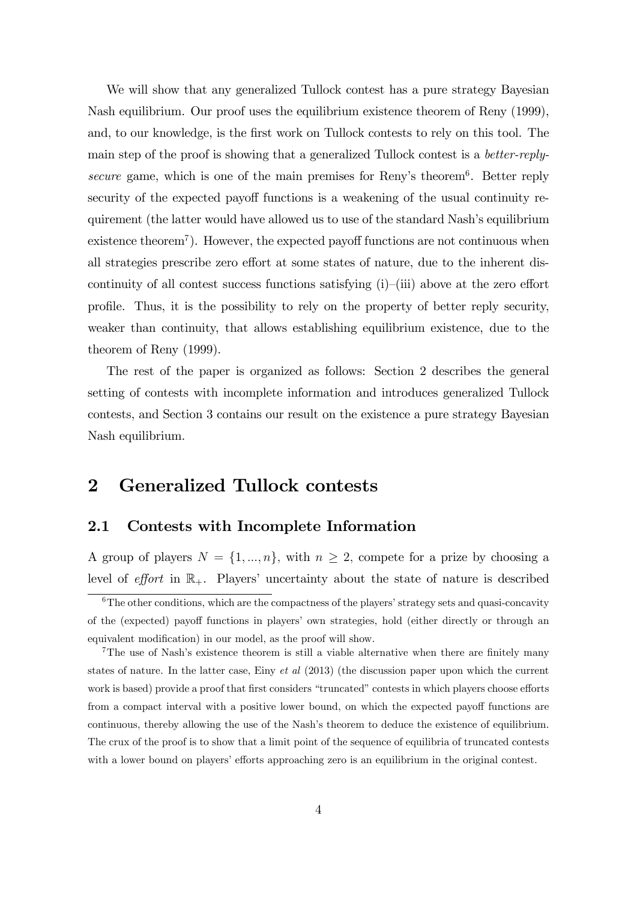We will show that any generalized Tullock contest has a pure strategy Bayesian Nash equilibrium. Our proof uses the equilibrium existence theorem of Reny (1999), and, to our knowledge, is the first work on Tullock contests to rely on this tool. The main step of the proof is showing that a generalized Tullock contest is a better-replysecure game, which is one of the main premises for Reny's theorem<sup>6</sup>. Better reply security of the expected payoff functions is a weakening of the usual continuity requirement (the latter would have allowed us to use of the standard Nash's equilibrium  $ext{extence theorem}^7$ . However, the expected payoff functions are not continuous when all strategies prescribe zero effort at some states of nature, due to the inherent discontinuity of all contest success functions satisfying  $(i)$ – $(iii)$  above at the zero effort profile. Thus, it is the possibility to rely on the property of better reply security, weaker than continuity, that allows establishing equilibrium existence, due to the theorem of Reny (1999).

The rest of the paper is organized as follows: Section 2 describes the general setting of contests with incomplete information and introduces generalized Tullock contests, and Section 3 contains our result on the existence a pure strategy Bayesian Nash equilibrium.

# 2 Generalized Tullock contests

#### 2.1 Contests with Incomplete Information

A group of players  $N = \{1, ..., n\}$ , with  $n \geq 2$ , compete for a prize by choosing a level of effort in  $\mathbb{R}_+$ . Players' uncertainty about the state of nature is described

 $6$ The other conditions, which are the compactness of the players' strategy sets and quasi-concavity of the (expected) payoff functions in players' own strategies, hold (either directly or through an equivalent modification) in our model, as the proof will show.

 $7$ The use of Nash's existence theorem is still a viable alternative when there are finitely many states of nature. In the latter case, Einy et al  $(2013)$  (the discussion paper upon which the current work is based) provide a proof that first considers "truncated" contests in which players choose efforts from a compact interval with a positive lower bound, on which the expected payoff functions are continuous, thereby allowing the use of the Nash's theorem to deduce the existence of equilibrium. The crux of the proof is to show that a limit point of the sequence of equilibria of truncated contests with a lower bound on players' efforts approaching zero is an equilibrium in the original contest.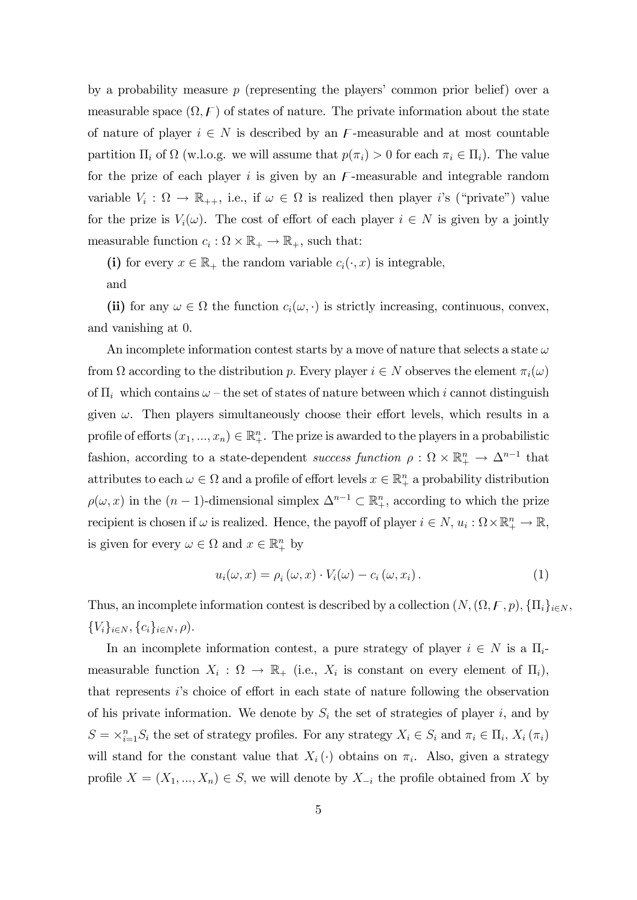by a probability measure  $p$  (representing the players' common prior belief) over a measurable space  $(\Omega, \mathcal{F})$  of states of nature. The private information about the state of nature of player  $i \in N$  is described by an F-measurable and at most countable partition  $\Pi_i$  of  $\Omega$  (w.l.o.g. we will assume that  $p(\pi_i) > 0$  for each  $\pi_i \in \Pi_i$ ). The value for the prize of each player  $i$  is given by an  $F$ -measurable and integrable random variable  $V_i: \Omega \to \mathbb{R}_{++}$ , i.e., if  $\omega \in \Omega$  is realized then player *i*'s ("private") value for the prize is  $V_i(\omega)$ . The cost of effort of each player  $i \in N$  is given by a jointly measurable function  $c_i : \Omega \times \mathbb{R}_+ \to \mathbb{R}_+$ , such that:

(i) for every  $x \in \mathbb{R}_+$  the random variable  $c_i(\cdot, x)$  is integrable,

and

(ii) for any  $\omega \in \Omega$  the function  $c_i(\omega, \cdot)$  is strictly increasing, continuous, convex, and vanishing at 0.

An incomplete information contest starts by a move of nature that selects a state  $\omega$ from  $\Omega$  according to the distribution p. Every player  $i \in N$  observes the element  $\pi_i(\omega)$ of  $\Pi_i$  which contains  $\omega$  – the set of states of nature between which i cannot distinguish given  $\omega$ . Then players simultaneously choose their effort levels, which results in a profile of efforts  $(x_1, ..., x_n) \in \mathbb{R}^n_+$ . The prize is awarded to the players in a probabilistic fashion, according to a state-dependent success function  $\rho : \Omega \times \mathbb{R}^n_+ \to \Delta^{n-1}$  that attributes to each  $\omega \in \Omega$  and a profile of effort levels  $x \in \mathbb{R}^n_+$  a probability distribution  $\rho(\omega, x)$  in the  $(n-1)$ -dimensional simplex  $\Delta^{n-1} \subset \mathbb{R}^n_+$ , according to which the prize recipient is chosen if  $\omega$  is realized. Hence, the payoff of player  $i \in N$ ,  $u_i : \Omega \times \mathbb{R}^n_+ \to \mathbb{R}$ , is given for every  $\omega \in \Omega$  and  $x \in \mathbb{R}^n_+$  by

$$
u_i(\omega, x) = \rho_i(\omega, x) \cdot V_i(\omega) - c_i(\omega, x_i). \tag{1}
$$

Thus, an incomplete information contest is described by a collection  $(N, (\Omega, \mathcal{F}, p), \{\Pi_i\}_{i \in N},$  $\{V_i\}_{i\in N}, \{c_i\}_{i\in N}, \rho$ ).

In an incomplete information contest, a pure strategy of player  $i \in N$  is a  $\Pi_i$ measurable function  $X_i : \Omega \to \mathbb{R}_+$  (i.e.,  $X_i$  is constant on every element of  $\Pi_i$ ), that represents  $i$ 's choice of effort in each state of nature following the observation of his private information. We denote by  $S_i$  the set of strategies of player i, and by  $S = \times_{i=1}^n S_i$  the set of strategy profiles. For any strategy  $X_i \in S_i$  and  $\pi_i \in \Pi_i$ ,  $X_i(\pi_i)$ will stand for the constant value that  $X_i(\cdot)$  obtains on  $\pi_i$ . Also, given a strategy profile  $X = (X_1, ..., X_n) \in S$ , we will denote by  $X_{-i}$  the profile obtained from X by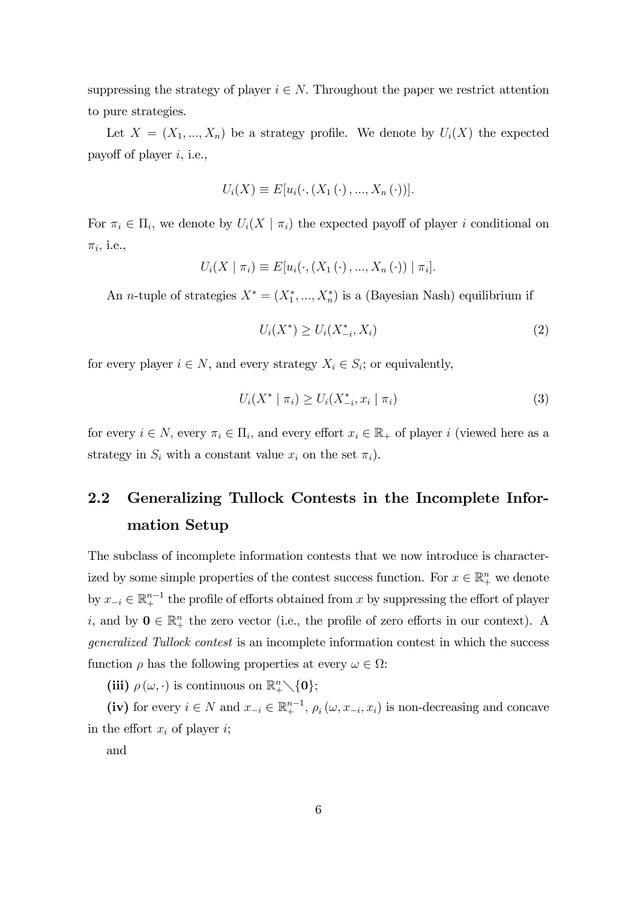suppressing the strategy of player  $i \in N$ . Throughout the paper we restrict attention to pure strategies.

Let  $X = (X_1, ..., X_n)$  be a strategy profile. We denote by  $U_i(X)$  the expected payoff of player  $i$ , i.e.,

$$
U_i(X) \equiv E[u_i(\cdot, (X_1(\cdot), ..., X_n(\cdot))].
$$

For  $\pi_i \in \Pi_i$ , we denote by  $U_i(X \mid \pi_i)$  the expected payoff of player i conditional on  $\pi_i$ , i.e.,

$$
U_i(X \mid \pi_i) \equiv E[u_i(\cdot, (X_1(\cdot), ..., X_n(\cdot)) \mid \pi_i].
$$

An *n*-tuple of strategies  $X^* = (X_1^*, ..., X_n^*)$  is a (Bayesian Nash) equilibrium if

$$
U_i(X^*) \ge U_i(X_{-i}^*, X_i)
$$
\n(2)

for every player  $i \in N$ , and every strategy  $X_i \in S_i$ ; or equivalently,

$$
U_i(X^* \mid \pi_i) \ge U_i(X_{-i}^*, x_i \mid \pi_i)
$$
\n(3)

for every  $i \in N$ , every  $\pi_i \in \Pi_i$ , and every effort  $x_i \in \mathbb{R}_+$  of player i (viewed here as a strategy in  $S_i$  with a constant value  $x_i$  on the set  $\pi_i$ ).

# 2.2 Generalizing Tullock Contests in the Incomplete Information Setup

The subclass of incomplete information contests that we now introduce is characterized by some simple properties of the contest success function. For  $x \in \mathbb{R}^n_+$  we denote by  $x_{-i} \in \mathbb{R}^{n-1}_+$  the profile of efforts obtained from x by suppressing the effort of player *i*, and by  $0 \in \mathbb{R}^n_+$  the zero vector (i.e., the profile of zero efforts in our context). A generalized Tullock contest is an incomplete information contest in which the success function  $\rho$  has the following properties at every  $\omega \in \Omega$ :

(iii)  $\rho(\omega, \cdot)$  is continuous on  $\mathbb{R}^n_+\setminus \{0\};$ 

(iv) for every  $i \in N$  and  $x_{-i} \in \mathbb{R}^{n-1}_+$ ,  $\rho_i(\omega, x_{-i}, x_i)$  is non-decreasing and concave in the effort  $x_i$  of player  $i$ ;

and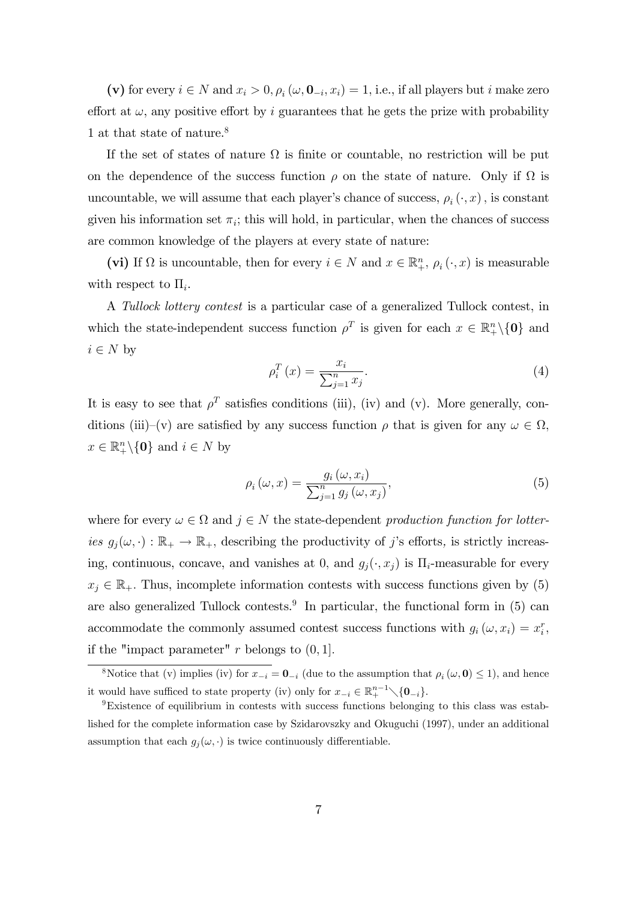(v) for every  $i \in N$  and  $x_i > 0$ ,  $\rho_i(\omega, \mathbf{0}_{-i}, x_i) = 1$ , i.e., if all players but i make zero effort at  $\omega$ , any positive effort by i guarantees that he gets the prize with probability 1 at that state of nature.<sup>8</sup>

If the set of states of nature  $\Omega$  is finite or countable, no restriction will be put on the dependence of the success function  $\rho$  on the state of nature. Only if  $\Omega$  is uncountable, we will assume that each player's chance of success,  $\rho_i(\cdot, x)$ , is constant given his information set  $\pi_i$ ; this will hold, in particular, when the chances of success are common knowledge of the players at every state of nature:

(vi) If  $\Omega$  is uncountable, then for every  $i \in N$  and  $x \in \mathbb{R}^n_+$ ,  $\rho_i(\cdot, x)$  is measurable with respect to  $\Pi_i$ .

A Tullock lottery contest is a particular case of a generalized Tullock contest, in which the state-independent success function  $\rho^T$  is given for each  $x \in \mathbb{R}^n_+\setminus\{0\}$  and  $i \in N$  by

$$
\rho_i^T(x) = \frac{x_i}{\sum_{j=1}^n x_j}.\tag{4}
$$

It is easy to see that  $\rho^T$  satisfies conditions (iii), (iv) and (v). More generally, conditions (iii)–(v) are satisfied by any success function  $\rho$  that is given for any  $\omega \in \Omega$ ,  $x \in \mathbb{R}^n_+ \backslash \{0\}$  and  $i \in N$  by

$$
\rho_i(\omega, x) = \frac{g_i(\omega, x_i)}{\sum_{j=1}^n g_j(\omega, x_j)},\tag{5}
$$

where for every  $\omega \in \Omega$  and  $j \in N$  the state-dependent production function for lotteries  $g_j(\omega, \cdot) : \mathbb{R}_+ \to \mathbb{R}_+$ , describing the productivity of j's efforts, is strictly increasing, continuous, concave, and vanishes at 0, and  $g_j(\cdot, x_j)$  is  $\Pi_i$ -measurable for every  $x_j \in \mathbb{R}_+$ . Thus, incomplete information contests with success functions given by (5) are also generalized Tullock contests.<sup>9</sup> In particular, the functional form in  $(5)$  can accommodate the commonly assumed contest success functions with  $g_i(\omega, x_i) = x_i^r$ , if the "impact parameter" r belongs to  $(0, 1]$ .

<sup>&</sup>lt;sup>8</sup>Notice that (v) implies (iv) for  $x_{-i} = 0_{-i}$  (due to the assumption that  $\rho_i(\omega, 0) \le 1$ ), and hence it would have sufficed to state property (iv) only for  $x_{-i} \in \mathbb{R}^{n-1}_{+} \setminus \{0_{-i}\}.$ 

<sup>9</sup>Existence of equilibrium in contests with success functions belonging to this class was established for the complete information case by Szidarovszky and Okuguchi (1997), under an additional assumption that each  $g_i(\omega, \cdot)$  is twice continuously differentiable.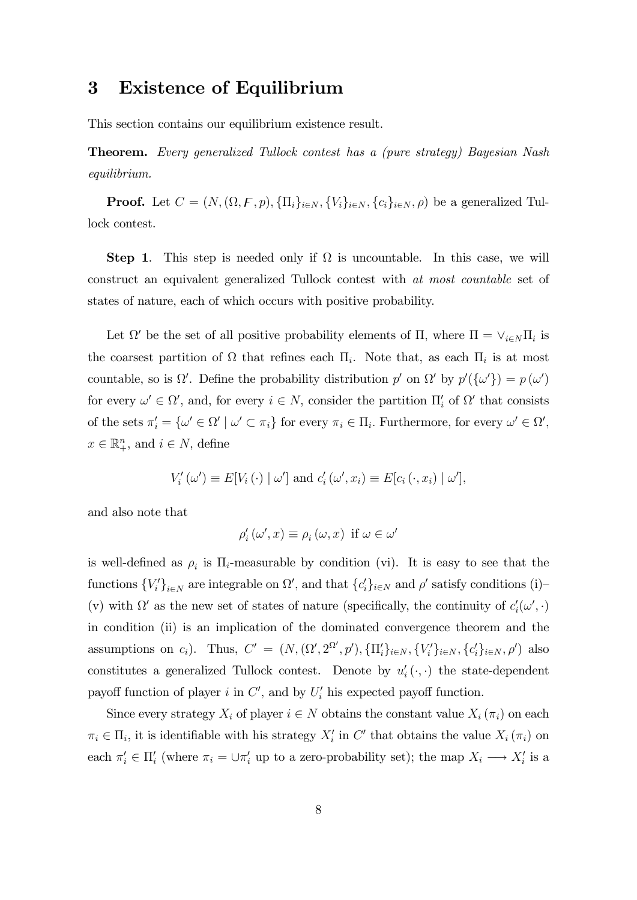### 3 Existence of Equilibrium

This section contains our equilibrium existence result.

Theorem. Every generalized Tullock contest has a (pure strategy) Bayesian Nash equilibrium.

**Proof.** Let  $C = (N, (\Omega, F, p), \{\Pi_i\}_{i \in N}, \{V_i\}_{i \in N}, \{c_i\}_{i \in N}, \rho)$  be a generalized Tullock contest.

**Step 1.** This step is needed only if  $\Omega$  is uncountable. In this case, we will construct an equivalent generalized Tullock contest with at most countable set of states of nature, each of which occurs with positive probability.

Let  $\Omega'$  be the set of all positive probability elements of  $\Pi$ , where  $\Pi = \vee_{i \in N} \Pi_i$  is the coarsest partition of  $\Omega$  that refines each  $\Pi_i$ . Note that, as each  $\Pi_i$  is at most countable, so is  $\Omega'$ . Define the probability distribution p' on  $\Omega'$  by  $p'(\{\omega'\}) = p(\omega')$ for every  $\omega' \in \Omega'$ , and, for every  $i \in N$ , consider the partition  $\Pi'_{i}$  of  $\Omega'$  that consists of the sets  $\pi'_i = {\omega' \in \Omega' \mid \omega' \subset \pi_i}$  for every  $\pi_i \in \Pi_i$ . Furthermore, for every  $\omega' \in \Omega'$ ,  $x \in \mathbb{R}_+^n$ , and  $i \in N$ , define

$$
V'_{i}(\omega') \equiv E[V_{i}(\cdot) | \omega'] \text{ and } c'_{i}(\omega', x_{i}) \equiv E[c_{i}(\cdot, x_{i}) | \omega'],
$$

and also note that

$$
\rho'_{i}(\omega', x) \equiv \rho_{i}(\omega, x) \text{ if } \omega \in \omega'
$$

is well-defined as  $\rho_i$  is  $\Pi_i$ -measurable by condition (vi). It is easy to see that the functions  ${V_i'}_{i \in N}$  are integrable on  $\Omega'$ , and that  ${c_i'}_{i \in N}$  and  $\rho'$  satisfy conditions (i)-(v) with  $\Omega'$  as the new set of states of nature (specifically, the continuity of  $c'_{i}(\omega', \cdot)$ in condition (ii) is an implication of the dominated convergence theorem and the assumptions on  $c_i$ ). Thus,  $C' = (N, (\Omega', 2^{\Omega'}, p'), \{\Pi'_i\}_{i \in N}, \{V'_i\}_{i \in N}, \{c'_i\}_{i \in N}, \rho')$  also constitutes a generalized Tullock contest. Denote by  $u'_{i}(\cdot, \cdot)$  the state-dependent payoff function of player i in  $C'$ , and by  $U'_{i}$  his expected payoff function.

Since every strategy  $X_i$  of player  $i \in N$  obtains the constant value  $X_i(\pi_i)$  on each  $\pi_i \in \Pi_i$ , it is identifiable with his strategy  $X_i'$  in C' that obtains the value  $X_i(\pi_i)$  on each  $\pi'_i \in \Pi'_i$  (where  $\pi_i = \cup \pi'_i$  up to a zero-probability set); the map  $X_i \longrightarrow X'_i$  is a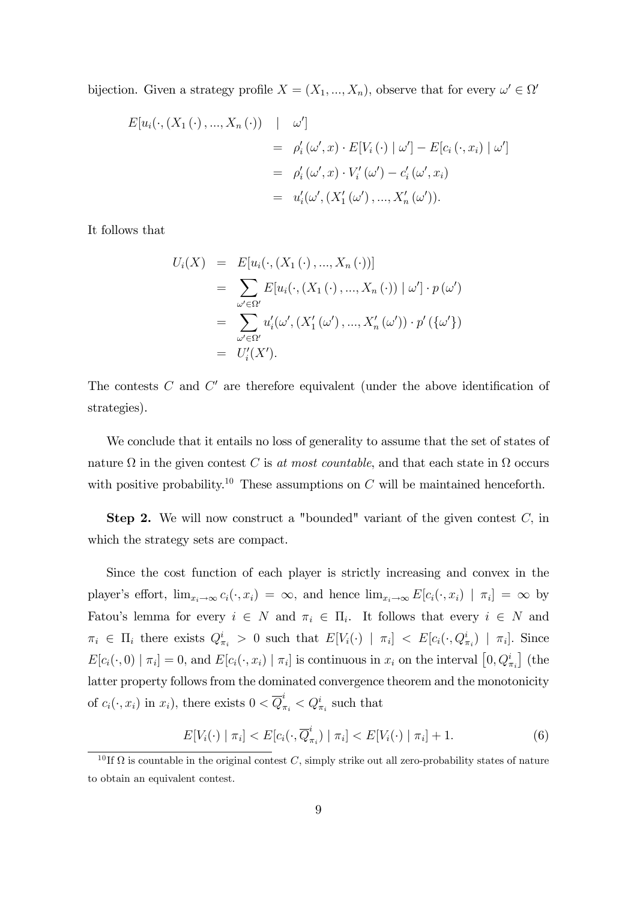bijection. Given a strategy profile  $X = (X_1, ..., X_n)$ , observe that for every  $\omega' \in \Omega'$ 

$$
E[u_i(\cdot,(X_1(\cdot),...,X_n(\cdot)) \mid \omega']
$$
  
=  $\rho'_i(\omega',x) \cdot E[V_i(\cdot) | \omega'] - E[c_i(\cdot,x_i) | \omega']$   
=  $\rho'_i(\omega',x) \cdot V'_i(\omega') - c'_i(\omega',x_i)$   
=  $u'_i(\omega', (X'_1(\omega'),...,X'_n(\omega'))$ .

It follows that

$$
U_i(X) = E[u_i(\cdot, (X_1(\cdot), ..., X_n(\cdot))]
$$
  
= 
$$
\sum_{\omega' \in \Omega'} E[u_i(\cdot, (X_1(\cdot), ..., X_n(\cdot)) | \omega'] \cdot p(\omega')
$$
  
= 
$$
\sum_{\omega' \in \Omega'} u'_i(\omega', (X'_1(\omega'), ..., X'_n(\omega')) \cdot p'(\{\omega'\})
$$
  
= 
$$
U'_i(X').
$$

The contests  $C$  and  $C'$  are therefore equivalent (under the above identification of strategies).

We conclude that it entails no loss of generality to assume that the set of states of nature  $\Omega$  in the given contest C is at most countable, and that each state in  $\Omega$  occurs with positive probability.<sup>10</sup> These assumptions on  $C$  will be maintained henceforth.

**Step 2.** We will now construct a "bounded" variant of the given contest  $C$ , in which the strategy sets are compact.

Since the cost function of each player is strictly increasing and convex in the player's effort,  $\lim_{x_i \to \infty} c_i(\cdot, x_i) = \infty$ , and hence  $\lim_{x_i \to \infty} E[c_i(\cdot, x_i) \mid \pi_i] = \infty$  by Fatou's lemma for every  $i \in N$  and  $\pi_i \in \Pi_i$ . It follows that every  $i \in N$  and  $\pi_i \in \Pi_i$  there exists  $Q_{\pi_i}^i > 0$  such that  $E[V_i(\cdot) | \pi_i] < E[c_i(\cdot, Q_{\pi_i}^i) | \pi_i]$ . Since  $E[c_i(\cdot, 0) | \pi_i] = 0$ , and  $E[c_i(\cdot, x_i) | \pi_i]$  is continuous in  $x_i$  on the interval  $[0, Q_{\pi_i}^i]$  (the latter property follows from the dominated convergence theorem and the monotonicity of  $c_i(\cdot, x_i)$  in  $x_i$ ), there exists  $0 < \overline{Q}^i_{\pi_i} < Q^i_{\pi_i}$  such that

$$
E[V_i(\cdot) \mid \pi_i] < E[c_i(\cdot, \overline{Q}_{\pi_i}^i) \mid \pi_i] < E[V_i(\cdot) \mid \pi_i] + 1. \tag{6}
$$

<sup>&</sup>lt;sup>10</sup>If  $\Omega$  is countable in the original contest C, simply strike out all zero-probability states of nature to obtain an equivalent contest.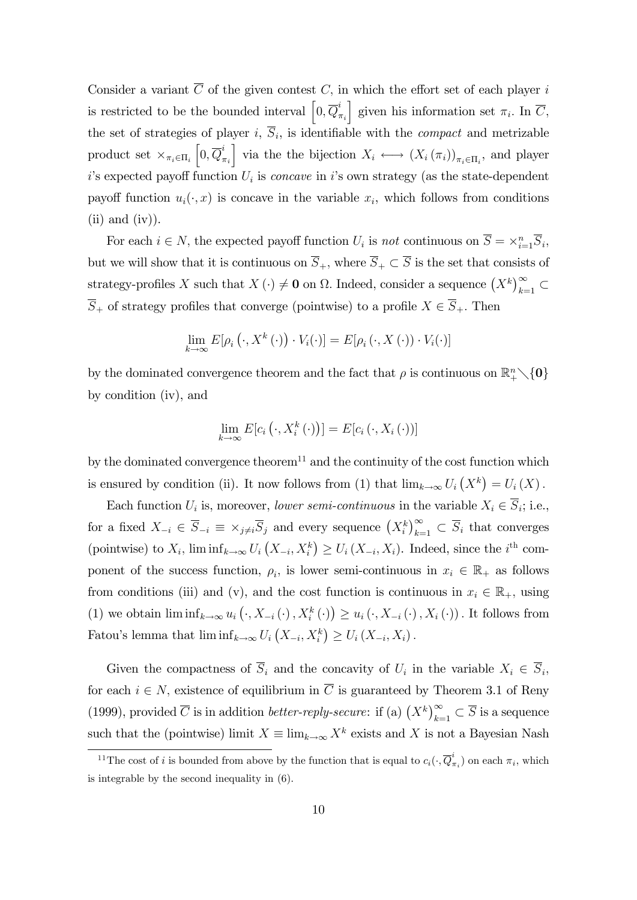Consider a variant  $\overline{C}$  of the given contest C, in which the effort set of each player i is restricted to be the bounded interval  $\left[0,\overline{Q}_{i}^{i}\right]$  $\pi_i$ given his information set  $\pi_i$ . In  $\overline{C}$ , the set of strategies of player  $i, S_i$ , is identifiable with the *compact* and metrizable product set  $\times_{\pi_i \in \Pi_i}$  $\left[0,\overline{Q}_{\tau}^{i}\right]$  $\pi_i$ | via the the bijection  $X_i \longleftrightarrow (X_i(\pi_i))_{\pi_i \in \Pi_i}$ , and player  $i$ 's expected payoff function  $U_i$  is *concave* in  $i$ 's own strategy (as the state-dependent payoff function  $u_i(\cdot, x)$  is concave in the variable  $x_i$ , which follows from conditions  $(ii)$  and  $(iv)$ ).

For each  $i \in N$ , the expected payoff function  $U_i$  is not continuous on  $\overline{S} = \times_{i=1}^n \overline{S}_i$ , but we will show that it is continuous on  $\overline{S}_+$ , where  $\overline{S}_+ \subset \overline{S}$  is the set that consists of strategy-profiles X such that  $X(\cdot) \neq \mathbf{0}$  on  $\Omega$ . Indeed, consider a sequence  $(X^k)_{k=1}^{\infty} \subset$  $\overline{S}_+$  of strategy profiles that converge (pointwise) to a profile  $X \in \overline{S}_+$ . Then

$$
\lim_{k \to \infty} E[\rho_i(\cdot, X^k(\cdot)) \cdot V_i(\cdot)] = E[\rho_i(\cdot, X(\cdot)) \cdot V_i(\cdot)]
$$

by the dominated convergence theorem and the fact that  $\rho$  is continuous on  $\mathbb{R}^n_+\setminus\{0\}$ by condition (iv), and

$$
\lim_{k \to \infty} E[c_i(\cdot, X_i^k(\cdot))] = E[c_i(\cdot, X_i(\cdot))]
$$

by the dominated convergence theorem<sup>11</sup> and the continuity of the cost function which is ensured by condition (ii). It now follows from (1) that  $\lim_{k\to\infty} U_i(X^k) = U_i(X)$ .

Each function  $U_i$  is, moreover, *lower semi-continuous* in the variable  $X_i \in S_i$ ; i.e., for a fixed  $X_{-i} \in \overline{S}_{-i} \equiv \times_{j \neq i} \overline{S}_j$  and every sequence  $(X_i^k)_{k=1}^{\infty} \subset \overline{S}_i$  that converges (pointwise) to  $X_i$ ,  $\liminf_{k\to\infty} U_i(X_{-i}, X_i^k) \ge U_i(X_{-i}, X_i)$ . Indeed, since the *i*<sup>th</sup> component of the success function,  $\rho_i$ , is lower semi-continuous in  $x_i \in \mathbb{R}_+$  as follows from conditions (iii) and (v), and the cost function is continuous in  $x_i \in \mathbb{R}_+$ , using (1) we obtain  $\liminf_{k\to\infty} u_i\left(\cdot, X_{-i}\left(\cdot\right), X_i^k\left(\cdot\right)\right) \geq u_i\left(\cdot, X_{-i}\left(\cdot\right), X_i\left(\cdot\right)\right)$ . It follows from Fatou's lemma that  $\liminf_{k\to\infty} U_i\left(X_{-i}, X_i^k\right) \ge U_i\left(X_{-i}, X_i\right)$ .

Given the compactness of  $S_i$  and the concavity of  $U_i$  in the variable  $X_i \in S_i$ , for each  $i \in N$ , existence of equilibrium in  $\overline{C}$  is guaranteed by Theorem 3.1 of Reny (1999), provided  $\overline{C}$  is in addition *better-reply-secure*: if (a)  $(X^k)_{k=1}^{\infty} \subset \overline{S}$  is a sequence such that the (pointwise) limit  $X \equiv \lim_{k \to \infty} X^k$  exists and X is not a Bayesian Nash

<sup>&</sup>lt;sup>11</sup>The cost of *i* is bounded from above by the function that is equal to  $c_i(\cdot, \overline{Q}_i^i)$  $(\pi_i)$  on each  $\pi_i$ , which is integrable by the second inequality in (6).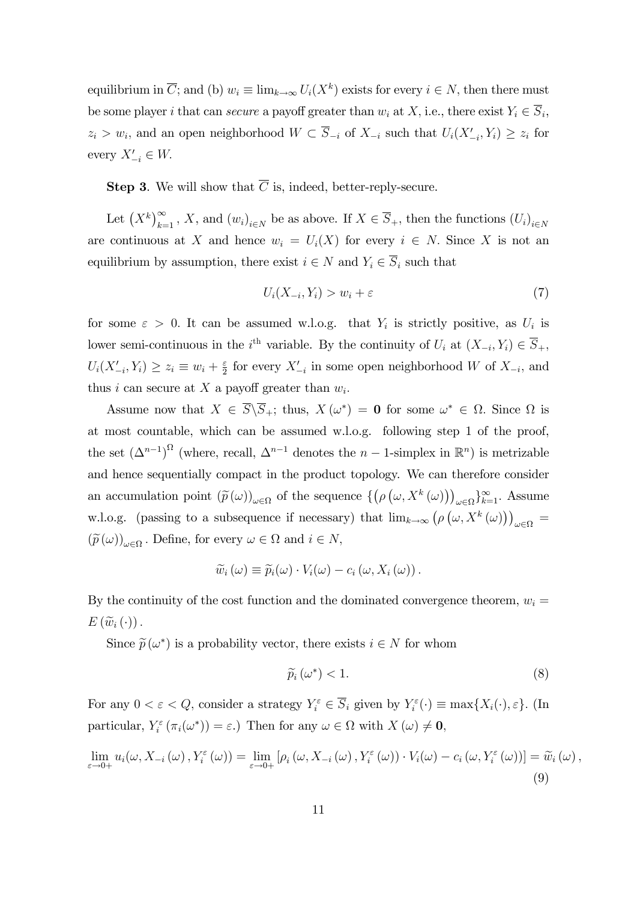equilibrium in  $\overline{C}$ ; and (b)  $w_i \equiv \lim_{k \to \infty} U_i(X^k)$  exists for every  $i \in N$ , then there must be some player *i* that can *secure* a payoff greater than  $w_i$  at  $X$ , i.e., there exist  $Y_i \in S_i$ ,  $z_i > w_i$ , and an open neighborhood  $W \subset S_{-i}$  of  $X_{-i}$  such that  $U_i(X'_{-i}, Y_i) \geq z_i$  for every  $X'_{-i} \in W$ .

**Step 3.** We will show that  $\overline{C}$  is, indeed, better-reply-secure.

Let  $(X^k)_{k=1}^{\infty}$ , X, and  $(w_i)_{i\in N}$  be as above. If  $X \in \overline{S}_+$ , then the functions  $(U_i)_{i\in N}$ are continuous at X and hence  $w_i = U_i(X)$  for every  $i \in N$ . Since X is not an equilibrium by assumption, there exist  $i \in N$  and  $Y_i \in \overline{S}_i$  such that

$$
U_i(X_{-i}, Y_i) > w_i + \varepsilon \tag{7}
$$

for some  $\varepsilon > 0$ . It can be assumed w.l.o.g. that  $Y_i$  is strictly positive, as  $U_i$  is lower semi-continuous in the *i*<sup>th</sup> variable. By the continuity of  $U_i$  at  $(X_{-i}, Y_i) \in \overline{S}_+$ ,  $U_i(X'_{-i}, Y_i) \geq z_i \equiv w_i + \frac{\varepsilon}{2}$  $\frac{\varepsilon}{2}$  for every  $X'_{-i}$  in some open neighborhood W of  $X_{-i}$ , and thus *i* can secure at X a payoff greater than  $w_i$ .

Assume now that  $X \in S \backslash S_+$ ; thus,  $X(\omega^*) = \mathbf{0}$  for some  $\omega^* \in \Omega$ . Since  $\Omega$  is at most countable, which can be assumed w.l.o.g. following step 1 of the proof, the set  $(\Delta^{n-1})^{\Omega}$  (where, recall,  $\Delta^{n-1}$  denotes the  $n-1$ -simplex in  $\mathbb{R}^n$ ) is metrizable and hence sequentially compact in the product topology. We can therefore consider an accumulation point  $(\widetilde{p}(\omega))_{\omega \in \Omega}$  of the sequence  $\{(\rho(\omega, X^k(\omega)))\}$  $_{\omega \in \Omega} \}_{k=1}^{\infty}$ . Assume w.l.o.g. (passing to a subsequence if necessary) that  $\lim_{k\to\infty} (\rho(\omega, X^k(\omega)))$  $\int \omega \in \Omega$  =  $(\widetilde{p}(\omega))_{\omega \in \Omega}$ . Define, for every  $\omega \in \Omega$  and  $i \in N$ ,

$$
\widetilde{w}_i(\omega) \equiv \widetilde{p}_i(\omega) \cdot V_i(\omega) - c_i(\omega, X_i(\omega)).
$$

By the continuity of the cost function and the dominated convergence theorem,  $w_i =$  $E\left(\widetilde{w}_i\left(\cdot\right)\right).$ 

Since  $\widetilde{p}(\omega^*)$  is a probability vector, there exists  $i \in N$  for whom

$$
\widetilde{p}_i\left(\omega^*\right) < 1. \tag{8}
$$

For any  $0 < \varepsilon < Q$ , consider a strategy  $Y_i^{\varepsilon} \in \overline{S}_i$  given by  $Y_i^{\varepsilon}(\cdot) \equiv \max\{X_i(\cdot), \varepsilon\}$ . (In particular,  $Y_i^{\varepsilon}(\pi_i(\omega^*)) = \varepsilon$ .) Then for any  $\omega \in \Omega$  with  $X(\omega) \neq \mathbf{0}$ ,

$$
\lim_{\varepsilon \to 0+} u_i(\omega, X_{-i}(\omega), Y_i^{\varepsilon}(\omega)) = \lim_{\varepsilon \to 0+} \left[ \rho_i(\omega, X_{-i}(\omega), Y_i^{\varepsilon}(\omega)) \cdot V_i(\omega) - c_i(\omega, Y_i^{\varepsilon}(\omega)) \right] = \widetilde{w}_i(\omega),
$$
\n(9)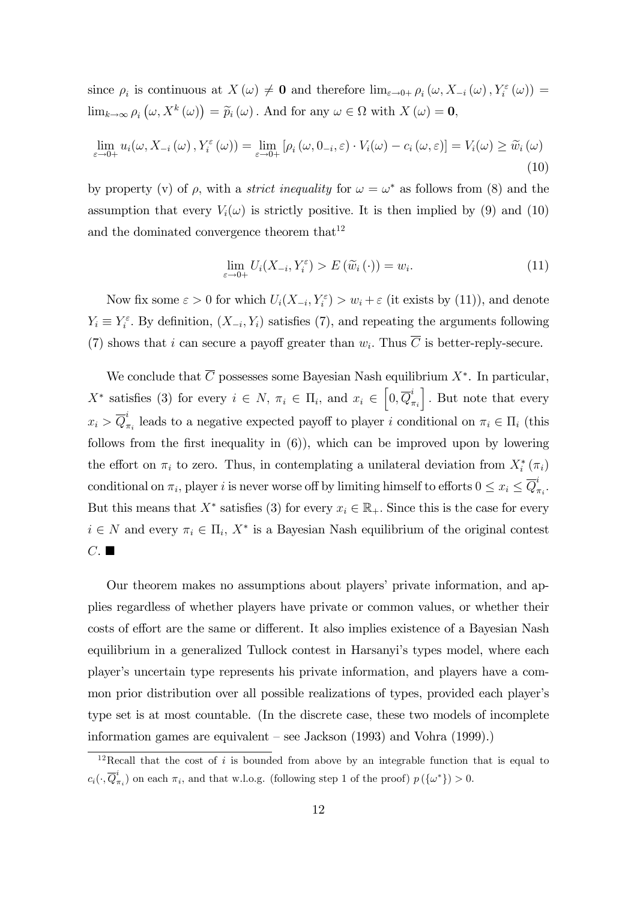since  $\rho_i$  is continuous at  $X(\omega) \neq \mathbf{0}$  and therefore  $\lim_{\varepsilon \to 0+} \rho_i(\omega, X_{-i}(\omega), Y_i^{\varepsilon}(\omega)) =$  $\lim_{k\to\infty}\rho_i\left(\omega,X^k\left(\omega\right)\right)=\widetilde{p}_i\left(\omega\right)$ . And for any  $\omega\in\Omega$  with  $X\left(\omega\right)=\mathbf{0}$ ,

$$
\lim_{\varepsilon \to 0+} u_i(\omega, X_{-i}(\omega), Y_i^{\varepsilon}(\omega)) = \lim_{\varepsilon \to 0+} \left[ \rho_i(\omega, 0_{-i}, \varepsilon) \cdot V_i(\omega) - c_i(\omega, \varepsilon) \right] = V_i(\omega) \ge \widetilde{w}_i(\omega)
$$
\n(10)

by property (v) of  $\rho$ , with a *strict inequality* for  $\omega = \omega^*$  as follows from (8) and the assumption that every  $V_i(\omega)$  is strictly positive. It is then implied by (9) and (10) and the dominated convergence theorem that  $12$ 

$$
\lim_{\varepsilon \to 0+} U_i(X_{-i}, Y_i^{\varepsilon}) > E(\widetilde{w}_i(\cdot)) = w_i.
$$
\n(11)

Now fix some  $\varepsilon > 0$  for which  $U_i(X_{-i}, Y_i^{\varepsilon}) > w_i + \varepsilon$  (it exists by (11)), and denote  $Y_i \equiv Y_i^{\varepsilon}$ . By definition,  $(X_{-i}, Y_i)$  satisfies (7), and repeating the arguments following (7) shows that i can secure a payoff greater than  $w_i$ . Thus C is better-reply-secure.

We conclude that C possesses some Bayesian Nash equilibrium  $X^*$ . In particular,  $X^*$  satisfies (3) for every  $i \in N$ ,  $\pi_i \in \Pi_i$ , and  $x_i \in \left[0, \overline{Q}_i\right]$  $\pi_i$ ]. But note that every  $x_i > \overline{Q}_i^i$  $\pi_i$  leads to a negative expected payoff to player i conditional on  $\pi_i \in \Pi_i$  (this follows from the first inequality in  $(6)$ , which can be improved upon by lowering the effort on  $\pi_i$  to zero. Thus, in contemplating a unilateral deviation from  $X_i^*(\pi_i)$ conditional on  $\pi_i$ , player i is never worse off by limiting himself to efforts  $0 \le x_i \le \overline{Q}_i^i$  $_{\pi_i}^{\cdot}$  . But this means that  $X^*$  satisfies (3) for every  $x_i \in \mathbb{R}_+$ . Since this is the case for every  $i \in N$  and every  $\pi_i \in \Pi_i$ ,  $X^*$  is a Bayesian Nash equilibrium of the original contest  $C.$ 

Our theorem makes no assumptions about players' private information, and applies regardless of whether players have private or common values, or whether their costs of effort are the same or different. It also implies existence of a Bayesian Nash equilibrium in a generalized Tullock contest in Harsanyi's types model, where each playerís uncertain type represents his private information, and players have a common prior distribution over all possible realizations of types, provided each player's type set is at most countable. (In the discrete case, these two models of incomplete information games are equivalent  $-$  see Jackson (1993) and Vohra (1999).)

 $12$ Recall that the cost of i is bounded from above by an integrable function that is equal to  $c_i(\cdot, {\overline{Q}}_7^i$  $\sigma_{\pi_i}^*$ ) on each  $\pi_i$ , and that w.l.o.g. (following step 1 of the proof)  $p(\{\omega^*\}) > 0$ .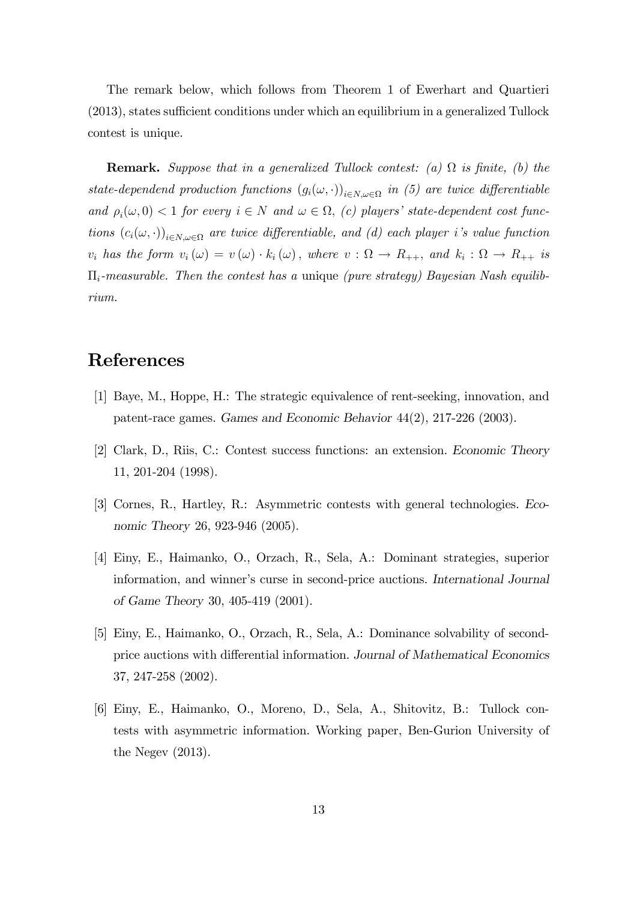The remark below, which follows from Theorem 1 of Ewerhart and Quartieri  $(2013)$ , states sufficient conditions under which an equilibrium in a generalized Tullock contest is unique.

**Remark.** Suppose that in a generalized Tullock contest: (a)  $\Omega$  is finite, (b) the state-dependend production functions  $(g_i(\omega, \cdot))_{i \in N, \omega \in \Omega}$  in (5) are twice differentiable and  $\rho_i(\omega, 0) < 1$  for every  $i \in N$  and  $\omega \in \Omega$ , (c) players' state-dependent cost functions  $(c_i(\omega, \cdot))_{i \in N, \omega \in \Omega}$  are twice differentiable, and (d) each player i's value function  $v_i$  has the form  $v_i(\omega) = v(\omega) \cdot k_i(\omega)$ , where  $v : \Omega \to R_{++}$ , and  $k_i : \Omega \to R_{++}$  is  $\Pi_i$ -measurable. Then the contest has a unique (pure strategy) Bayesian Nash equilibrium.

# References

- [1] Baye, M., Hoppe, H.: The strategic equivalence of rent-seeking, innovation, and patent-race games. Games and Economic Behavior 44(2), 217-226 (2003).
- [2] Clark, D., Riis, C.: Contest success functions: an extension. Economic Theory 11, 201-204 (1998).
- [3] Cornes, R., Hartley, R.: Asymmetric contests with general technologies. Economic Theory 26, 923-946 (2005).
- [4] Einy, E., Haimanko, O., Orzach, R., Sela, A.: Dominant strategies, superior information, and winner's curse in second-price auctions. International Journal of Game Theory 30, 405-419 (2001).
- [5] Einy, E., Haimanko, O., Orzach, R., Sela, A.: Dominance solvability of secondprice auctions with differential information. Journal of Mathematical Economics 37, 247-258 (2002).
- [6] Einy, E., Haimanko, O., Moreno, D., Sela, A., Shitovitz, B.: Tullock contests with asymmetric information. Working paper, Ben-Gurion University of the Negev (2013).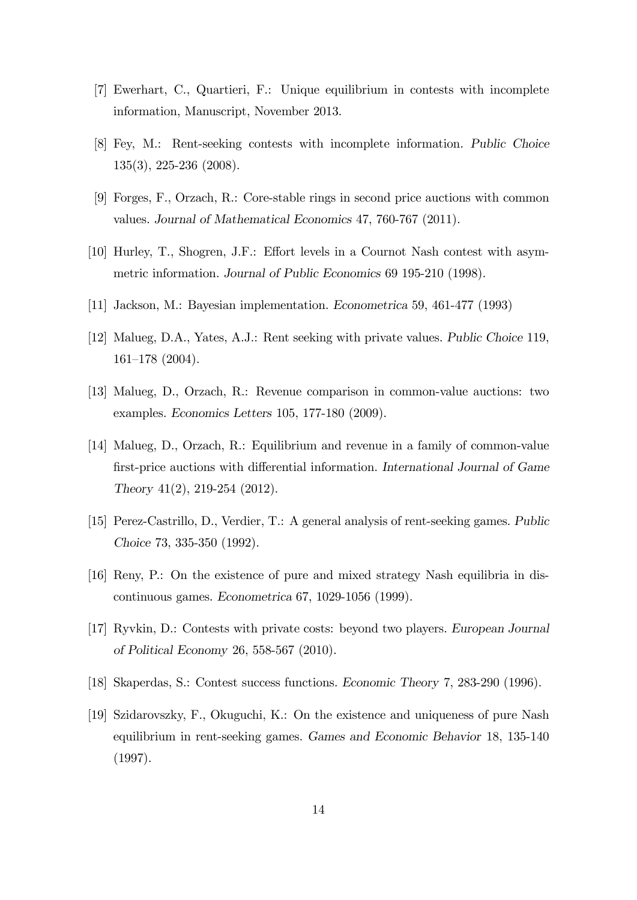- [7] Ewerhart, C., Quartieri, F.: Unique equilibrium in contests with incomplete information, Manuscript, November 2013.
- [8] Fey, M.: Rent-seeking contests with incomplete information. Public Choice 135(3), 225-236 (2008).
- [9] Forges, F., Orzach, R.: Core-stable rings in second price auctions with common values. Journal of Mathematical Economics 47, 760-767 (2011).
- [10] Hurley, T., Shogren, J.F.: Effort levels in a Cournot Nash contest with asymmetric information. Journal of Public Economics 69 195-210 (1998).
- [11] Jackson, M.: Bayesian implementation. Econometrica 59, 461-477 (1993)
- [12] Malueg, D.A., Yates, A.J.: Rent seeking with private values. Public Choice 119,  $161–178$  (2004).
- [13] Malueg, D., Orzach, R.: Revenue comparison in common-value auctions: two examples. Economics Letters 105, 177-180 (2009).
- [14] Malueg, D., Orzach, R.: Equilibrium and revenue in a family of common-value first-price auctions with differential information. International Journal of Game Theory 41(2), 219-254 (2012).
- [15] Perez-Castrillo, D., Verdier, T.: A general analysis of rent-seeking games. Public Choice 73, 335-350 (1992).
- [16] Reny, P.: On the existence of pure and mixed strategy Nash equilibria in discontinuous games. Econometrica 67, 1029-1056 (1999).
- [17] Ryvkin, D.: Contests with private costs: beyond two players. European Journal of Political Economy 26, 558-567 (2010).
- [18] Skaperdas, S.: Contest success functions. Economic Theory 7, 283-290 (1996).
- [19] Szidarovszky, F., Okuguchi, K.: On the existence and uniqueness of pure Nash equilibrium in rent-seeking games. Games and Economic Behavior 18, 135-140 (1997).